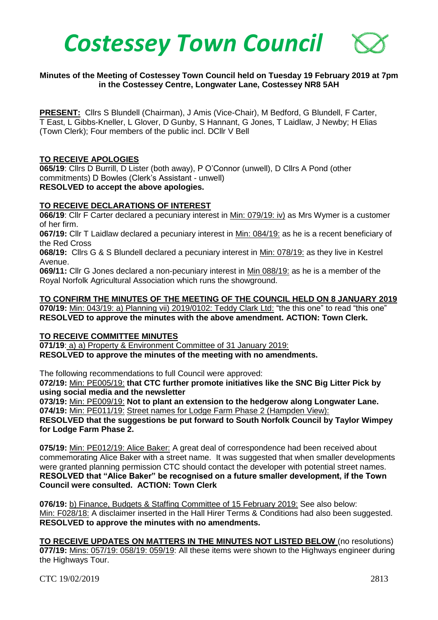

### **Minutes of the Meeting of Costessey Town Council held on Tuesday 19 February 2019 at 7pm in the Costessey Centre, Longwater Lane, Costessey NR8 5AH**

**PRESENT:** Cllrs S Blundell (Chairman), J Amis (Vice-Chair), M Bedford, G Blundell, F Carter, T East, L Gibbs-Kneller, L Glover, D Gunby, S Hannant, G Jones, T Laidlaw, J Newby; H Elias (Town Clerk); Four members of the public incl. DCllr V Bell

#### **TO RECEIVE APOLOGIES**

**065/19**: Cllrs D Burrill, D Lister (both away), P O'Connor (unwell), D Cllrs A Pond (other commitments) D Bowles (Clerk's Assistant - unwell) **RESOLVED to accept the above apologies.** 

#### **TO RECEIVE DECLARATIONS OF INTEREST**

**066/19**: Cllr F Carter declared a pecuniary interest in Min: 079/19: iv) as Mrs Wymer is a customer of her firm.

**067/19:** Cllr T Laidlaw declared a pecuniary interest in Min: 084/19: as he is a recent beneficiary of the Red Cross

**068/19:** Cllrs G & S Blundell declared a pecuniary interest in Min: 078/19: as they live in Kestrel Avenue.

**069/11:** Cllr G Jones declared a non-pecuniary interest in Min 088/19: as he is a member of the Royal Norfolk Agricultural Association which runs the showground.

**TO CONFIRM THE MINUTES OF THE MEETING OF THE COUNCIL HELD ON 8 JANUARY 2019 070/19:** Min: 043/19: a) Planning vii) 2019/0102: Teddy Clark Ltd: "the this one" to read "this one" **RESOLVED to approve the minutes with the above amendment. ACTION: Town Clerk.**

#### **TO RECEIVE COMMITTEE MINUTES**

**071/19**: a) a) Property & Environment Committee of 31 January 2019: **RESOLVED to approve the minutes of the meeting with no amendments.** 

The following recommendations to full Council were approved:

**072/19:** Min: PE005/19: **that CTC further promote initiatives like the SNC Big Litter Pick by using social media and the newsletter**

**073/19:** Min: PE009/19: **Not to plant an extension to the hedgerow along Longwater Lane. 074/19:** Min: PE011/19: Street names for Lodge Farm Phase 2 (Hampden View):

**RESOLVED that the suggestions be put forward to South Norfolk Council by Taylor Wimpey for Lodge Farm Phase 2.** 

**075/19:** Min: PE012/19: Alice Baker: A great deal of correspondence had been received about commemorating Alice Baker with a street name. It was suggested that when smaller developments were granted planning permission CTC should contact the developer with potential street names. **RESOLVED that "Alice Baker" be recognised on a future smaller development, if the Town Council were consulted. ACTION: Town Clerk**

**076/19:** b) Finance, Budgets & Staffing Committee of 15 February 2019: See also below: Min: F028/18: A disclaimer inserted in the Hall Hirer Terms & Conditions had also been suggested. **RESOLVED to approve the minutes with no amendments.** 

**TO RECEIVE UPDATES ON MATTERS IN THE MINUTES NOT LISTED BELOW** (no resolutions) **077/19:** Mins: 057/19: 058/19: 059/19: All these items were shown to the Highways engineer during the Highways Tour.

CTC 19/02/2019 2813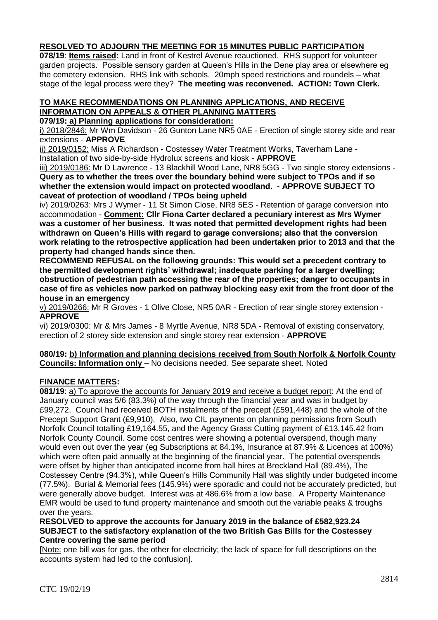# **RESOLVED TO ADJOURN THE MEETING FOR 15 MINUTES PUBLIC PARTICIPATION**

**078/19**: **Items raised:** Land in front of Kestrel Avenue reauctioned. RHS support for volunteer garden projects. Possible sensory garden at Queen's Hills in the Dene play area or elsewhere eg the cemetery extension. RHS link with schools. 20mph speed restrictions and roundels – what stage of the legal process were they? **The meeting was reconvened. ACTION: Town Clerk.**

# **TO MAKE RECOMMENDATIONS ON PLANNING APPLICATIONS, AND RECEIVE INFORMATION ON APPEALS & OTHER PLANNING MATTERS**

**079/19: a) Planning applications for consideration:**

i) 2018/2846: Mr Wm Davidson - 26 Gunton Lane NR5 0AE - Erection of single storey side and rear extensions - **APPROVE**

ii) 2019/0152: Miss A Richardson - Costessey Water Treatment Works, Taverham Lane - Installation of two side-by-side Hydrolux screens and kiosk - **APPROVE**

iii) 2019/0186: Mr D Lawrence - 13 Blackhill Wood Lane, NR8 5GG - Two single storey extensions - **Query as to whether the trees over the boundary behind were subject to TPOs and if so whether the extension would impact on protected woodland. - APPROVE SUBJECT TO caveat of protection of woodland / TPOs being upheld**

iv) 2019/0263: Mrs J Wymer - 11 St Simon Close, NR8 5ES - Retention of garage conversion into accommodation - **Comment: Cllr Fiona Carter declared a pecuniary interest as Mrs Wymer was a customer of her business. It was noted that permitted development rights had been withdrawn on Queen's Hills with regard to garage conversions; also that the conversion work relating to the retrospective application had been undertaken prior to 2013 and that the property had changed hands since then.** 

**RECOMMEND REFUSAL on the following grounds: This would set a precedent contrary to the permitted development rights' withdrawal; inadequate parking for a larger dwelling; obstruction of pedestrian path accessing the rear of the properties; danger to occupants in case of fire as vehicles now parked on pathway blocking easy exit from the front door of the house in an emergency** 

v) 2019/0266: Mr R Groves - 1 Olive Close, NR5 0AR - Erection of rear single storey extension - **APPROVE**

vi) 2019/0300: Mr & Mrs James - 8 Myrtle Avenue, NR8 5DA - Removal of existing conservatory, erection of 2 storey side extension and single storey rear extension - **APPROVE**

#### **080/19: b) Information and planning decisions received from South Norfolk & Norfolk County Councils: Information only** – No decisions needed. See separate sheet. Noted

# **FINANCE MATTERS:**

**081/19**: a) To approve the accounts for January 2019 and receive a budget report: At the end of January council was 5/6 (83.3%) of the way through the financial year and was in budget by £99,272. Council had received BOTH instalments of the precept (£591,448) and the whole of the Precept Support Grant (£9,910). Also, two CIL payments on planning permissions from South Norfolk Council totalling £19,164.55, and the Agency Grass Cutting payment of £13,145.42 from Norfolk County Council. Some cost centres were showing a potential overspend, though many would even out over the year (eg Subscriptions at 84.1%, Insurance at 87.9% & Licences at 100%) which were often paid annually at the beginning of the financial year. The potential overspends were offset by higher than anticipated income from hall hires at Breckland Hall (89.4%), The Costessey Centre (94.3%), while Queen's Hills Community Hall was slightly under budgeted income (77.5%). Burial & Memorial fees (145.9%) were sporadic and could not be accurately predicted, but were generally above budget. Interest was at 486.6% from a low base. A Property Maintenance EMR would be used to fund property maintenance and smooth out the variable peaks & troughs over the years.

### **RESOLVED to approve the accounts for January 2019 in the balance of £582,923.24 SUBJECT to the satisfactory explanation of the two British Gas Bills for the Costessey Centre covering the same period**

[Note: one bill was for gas, the other for electricity; the lack of space for full descriptions on the accounts system had led to the confusion].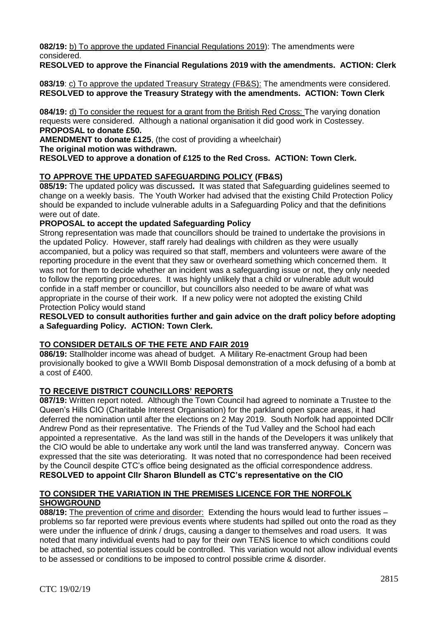**082/19:** b) To approve the updated Financial Regulations 2019): The amendments were considered.

# **RESOLVED to approve the Financial Regulations 2019 with the amendments. ACTION: Clerk**

#### **083/19**: c) To approve the updated Treasury Strategy (FB&S): The amendments were considered. **RESOLVED to approve the Treasury Strategy with the amendments. ACTION: Town Clerk**

**084/19:** d) To consider the request for a grant from the British Red Cross: The varying donation requests were considered. Although a national organisation it did good work in Costessey. **PROPOSAL to donate £50.**

**AMENDMENT to donate £125**, (the cost of providing a wheelchair)

**The original motion was withdrawn.**

**RESOLVED to approve a donation of £125 to the Red Cross. ACTION: Town Clerk.**

# **TO APPROVE THE UPDATED SAFEGUARDING POLICY (FB&S)**

**085/19:** The updated policy was discussed**.** It was stated that Safeguarding guidelines seemed to change on a weekly basis. The Youth Worker had advised that the existing Child Protection Policy should be expanded to include vulnerable adults in a Safeguarding Policy and that the definitions were out of date.

## **PROPOSAL to accept the updated Safeguarding Policy**

Strong representation was made that councillors should be trained to undertake the provisions in the updated Policy. However, staff rarely had dealings with children as they were usually accompanied, but a policy was required so that staff, members and volunteers were aware of the reporting procedure in the event that they saw or overheard something which concerned them. It was not for them to decide whether an incident was a safeguarding issue or not, they only needed to follow the reporting procedures. It was highly unlikely that a child or vulnerable adult would confide in a staff member or councillor, but councillors also needed to be aware of what was appropriate in the course of their work. If a new policy were not adopted the existing Child Protection Policy would stand

**RESOLVED to consult authorities further and gain advice on the draft policy before adopting a Safeguarding Policy. ACTION: Town Clerk.**

# **TO CONSIDER DETAILS OF THE FETE AND FAIR 2019**

**086/19:** Stallholder income was ahead of budget. A Military Re-enactment Group had been provisionally booked to give a WWII Bomb Disposal demonstration of a mock defusing of a bomb at a cost of £400.

# **TO RECEIVE DISTRICT COUNCILLORS' REPORTS**

**087/19:** Written report noted. Although the Town Council had agreed to nominate a Trustee to the Queen's Hills CIO (Charitable Interest Organisation) for the parkland open space areas, it had deferred the nomination until after the elections on 2 May 2019. South Norfolk had appointed DCllr Andrew Pond as their representative. The Friends of the Tud Valley and the School had each appointed a representative. As the land was still in the hands of the Developers it was unlikely that the CIO would be able to undertake any work until the land was transferred anyway. Concern was expressed that the site was deteriorating. It was noted that no correspondence had been received by the Council despite CTC's office being designated as the official correspondence address. **RESOLVED to appoint Cllr Sharon Blundell as CTC's representative on the CIO**

## **TO CONSIDER THE VARIATION IN THE PREMISES LICENCE FOR THE NORFOLK SHOWGROUND**

**088/19:** The prevention of crime and disorder: Extending the hours would lead to further issues – problems so far reported were previous events where students had spilled out onto the road as they were under the influence of drink / drugs, causing a danger to themselves and road users. It was noted that many individual events had to pay for their own TENS licence to which conditions could be attached, so potential issues could be controlled. This variation would not allow individual events to be assessed or conditions to be imposed to control possible crime & disorder.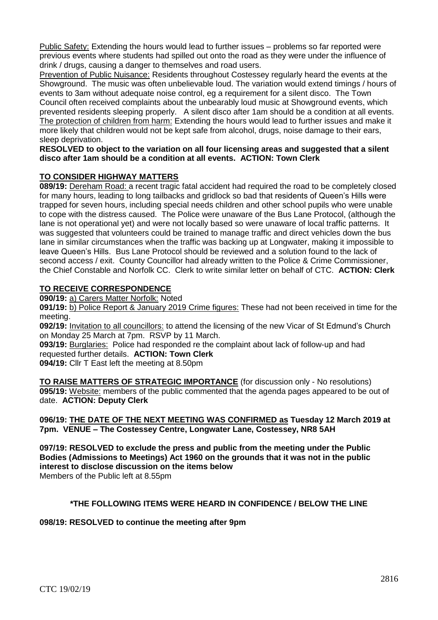Public Safety: Extending the hours would lead to further issues – problems so far reported were previous events where students had spilled out onto the road as they were under the influence of drink / drugs, causing a danger to themselves and road users.

Prevention of Public Nuisance: Residents throughout Costessey regularly heard the events at the Showground. The music was often unbelievable loud. The variation would extend timings / hours of events to 3am without adequate noise control, eg a requirement for a silent disco. The Town Council often received complaints about the unbearably loud music at Showground events, which prevented residents sleeping properly. A silent disco after 1am should be a condition at all events. The protection of children from harm: Extending the hours would lead to further issues and make it more likely that children would not be kept safe from alcohol, drugs, noise damage to their ears, sleep deprivation.

### **RESOLVED to object to the variation on all four licensing areas and suggested that a silent disco after 1am should be a condition at all events. ACTION: Town Clerk**

# **TO CONSIDER HIGHWAY MATTERS**

**089/19:** Dereham Road: a recent tragic fatal accident had required the road to be completely closed for many hours, leading to long tailbacks and gridlock so bad that residents of Queen's Hills were trapped for seven hours, including special needs children and other school pupils who were unable to cope with the distress caused. The Police were unaware of the Bus Lane Protocol, (although the lane is not operational yet) and were not locally based so were unaware of local traffic patterns. It was suggested that volunteers could be trained to manage traffic and direct vehicles down the bus lane in similar circumstances when the traffic was backing up at Longwater, making it impossible to leave Queen's Hills. Bus Lane Protocol should be reviewed and a solution found to the lack of second access / exit. County Councillor had already written to the Police & Crime Commissioner, the Chief Constable and Norfolk CC. Clerk to write similar letter on behalf of CTC. **ACTION: Clerk**

# **TO RECEIVE CORRESPONDENCE**

**090/19:** a) Carers Matter Norfolk: Noted

**091/19:** b) Police Report & January 2019 Crime figures: These had not been received in time for the meeting.

**092/19:** Invitation to all councillors: to attend the licensing of the new Vicar of St Edmund's Church on Monday 25 March at 7pm. RSVP by 11 March.

**093/19:** Burglaries: Police had responded re the complaint about lack of follow-up and had requested further details. **ACTION: Town Clerk**

**094/19:** Cllr T East left the meeting at 8.50pm

**TO RAISE MATTERS OF STRATEGIC IMPORTANCE** (for discussion only - No resolutions) **095/19:** Website: members of the public commented that the agenda pages appeared to be out of date. **ACTION: Deputy Clerk**

### **096/19: THE DATE OF THE NEXT MEETING WAS CONFIRMED as Tuesday 12 March 2019 at 7pm. VENUE – The Costessey Centre, Longwater Lane, Costessey, NR8 5AH**

**097/19: RESOLVED to exclude the press and public from the meeting under the Public Bodies (Admissions to Meetings) Act 1960 on the grounds that it was not in the public interest to disclose discussion on the items below** Members of the Public left at 8.55pm

### **\*THE FOLLOWING ITEMS WERE HEARD IN CONFIDENCE / BELOW THE LINE**

### **098/19: RESOLVED to continue the meeting after 9pm**